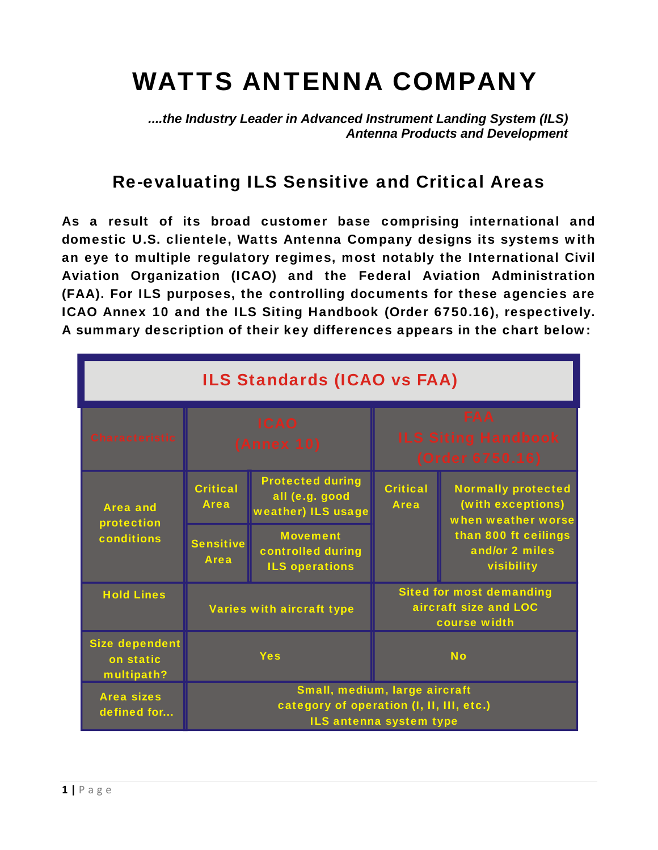## WATTS ANTENNA COMPANY

*....the Industry Leader in Advanced Instrument Landing System (ILS) Antenna Products and Development*

## Re-evaluating ILS Sensitive and Critical Areas

As a result of its broad customer base comprising international and domestic U.S. clientele, Watts Antenna Company designs its systems with an eye to multiple regulatory regimes, most notably the International Civil Aviation Organization (ICAO) and the Federal Aviation Administration (FAA). For ILS purposes, the controlling documents for these agencies are ICAO Annex 10 and the ILS Siting Handbook (Order 6750.16), respectively. A summary description of their key differences appears in the chart below:

| <b>ILS Standards (ICAO vs FAA)</b>               |                                                                                                      |                                                                 |                                                                          |                                                                                                                              |  |  |  |
|--------------------------------------------------|------------------------------------------------------------------------------------------------------|-----------------------------------------------------------------|--------------------------------------------------------------------------|------------------------------------------------------------------------------------------------------------------------------|--|--|--|
| <b>Characteristic</b>                            | <b>ICAO</b><br><b>(Annex 10)</b>                                                                     |                                                                 | <b>FAA</b><br><b>ILS Siting Handbook</b><br>(Order 6750.16)              |                                                                                                                              |  |  |  |
| <b>Area and</b><br>protection<br>conditions      | <b>Critical</b><br><b>Area</b>                                                                       | <b>Protected during</b><br>all (e.g. good<br>weather) ILS usage | <b>Critical</b><br><b>Area</b>                                           | <b>Normally protected</b><br>(with exceptions)<br>when weather worse<br>than 800 ft ceilings<br>and/or 2 miles<br>visibility |  |  |  |
|                                                  | <b>Sensitive</b><br><b>Area</b>                                                                      | <b>Movement</b><br>controlled during<br><b>ILS operations</b>   |                                                                          |                                                                                                                              |  |  |  |
| <b>Hold Lines</b>                                | Varies with aircraft type                                                                            |                                                                 | <b>Sited for most demanding</b><br>aircraft size and LOC<br>course width |                                                                                                                              |  |  |  |
| <b>Size dependent</b><br>on static<br>multipath? | <b>Yes</b>                                                                                           |                                                                 | <b>No</b>                                                                |                                                                                                                              |  |  |  |
| <b>Area sizes</b><br>defined for                 | Small, medium, large aircraft<br>category of operation (I, II, III, etc.)<br>ILS antenna system type |                                                                 |                                                                          |                                                                                                                              |  |  |  |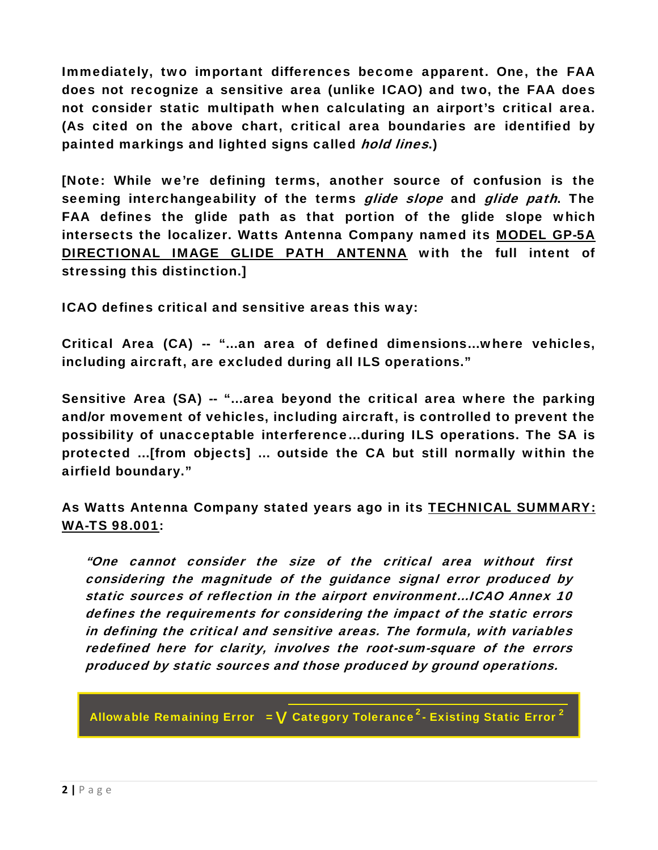Immediately, two important differences become apparent. One, the FAA does not recognize a sensitive area (unlike ICAO) and two, the FAA does not consider static multipath when calculating an airport's critical area. (As cited on the above chart, critical area boundaries are identified by painted markings and lighted signs called *hold lines*.)

[Note: While we're defining terms, another source of confusion is the seeming interchangeability of the terms glide slope and glide path. The FAA defines the glide path as that portion of the glide slope which intersects the localizer. Watts Antenna Company named its [MODEL GP-5A](http://wattsantenna.com/GP5A.htm)  [DIRECTIONAL IMAGE GLIDE PATH ANTENNA](http://wattsantenna.com/GP5A.htm) with the full intent of stressing this distinction.]

ICAO defines critical and sensitive areas this way:

Critical Area (CA) -- "…an area of defined dimensions…where vehicles, including aircraft, are excluded during all ILS operations."

Sensitive Area (SA) -- "…area beyond the critical area where the parking and/or movement of vehicles, including aircraft, is controlled to prevent the possibility of unacceptable interference…during ILS operations. The SA is protected …[from objects] … outside the CA but still normally within the airfield boundary."

As Watts Antenna Company stated years ago in its [TECHNICAL SUMMARY:](http://www.wattsantenna.com/Publications/TechnicalSummaryTS9800-1CriticalAreaSensitiveAreaStaticReflectionSourcesSeptember1998.pdf)  [WA-TS 98.001](http://www.wattsantenna.com/Publications/TechnicalSummaryTS9800-1CriticalAreaSensitiveAreaStaticReflectionSourcesSeptember1998.pdf):

"One cannot consider the size of the critical area without first considering the magnitude of the guidance signal error produced by static sources of reflection in the airport environment…ICAO Annex 10 defines the requirements for considering the impact of the static errors in defining the critical and sensitive areas. The formula, with variables redefined here for clarity, involves the root-sum-square of the errors produced by static sources and those produced by ground operations.

Allowable Remaining Error  $\,$  =  $\bf V$  Category Tolerance $^2$ - Existing Static Error  $^2$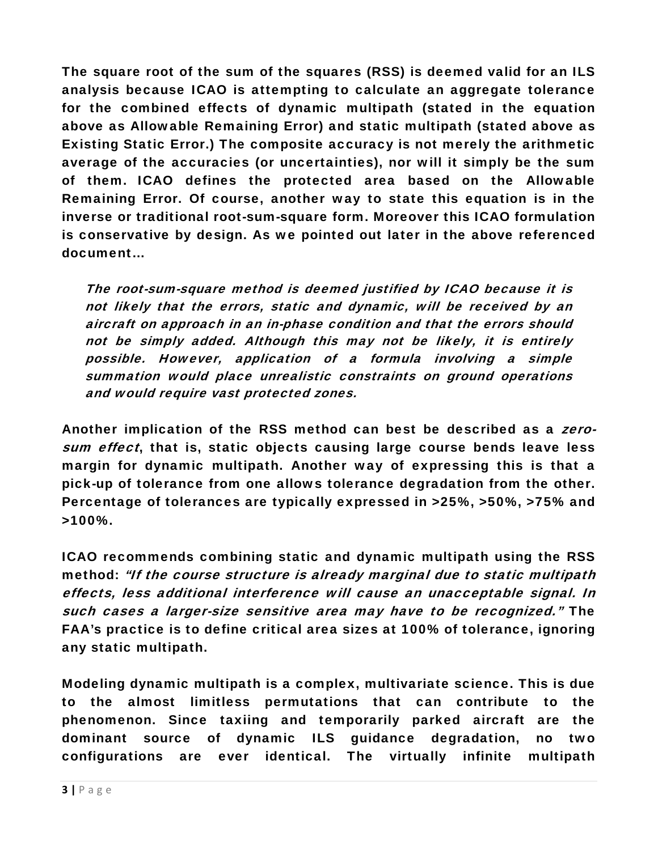The square root of the sum of the squares (RSS) is deemed valid for an ILS analysis because ICAO is attempting to calculate an aggregate tolerance for the combined effects of dynamic multipath (stated in the equation above as Allowable Remaining Error) and static multipath (stated above as Existing Static Error.) The composite accuracy is not merely the arithmetic average of the accuracies (or uncertainties), nor will it simply be the sum of them. ICAO defines the protected area based on the Allowable Remaining Error. Of course, another way to state this equation is in the inverse or traditional root-sum-square form. Moreover this ICAO formulation is conservative by design. As we pointed out later in the above referenced document…

The root-sum-square method is deemed justified by ICAO because it is not likely that the errors, static and dynamic, will be received by an aircraft on approach in an in-phase condition and that the errors should not be simply added. Although this may not be likely, it is entirely possible. However, application of a formula involving a simple summation would place unrealistic constraints on ground operations and would require vast protected zones.

Another implication of the RSS method can best be described as a zerosum effect, that is, static objects causing large course bends leave less margin for dynamic multipath. Another way of expressing this is that a pick-up of tolerance from one allows tolerance degradation from the other. Percentage of tolerances are typically expressed in >25%, >50%, >75% and >100%.

ICAO recommends combining static and dynamic multipath using the RSS method: "If the course structure is already marginal due to static multipath effects, less additional interference will cause an unacceptable signal. In such cases a larger-size sensitive area may have to be recognized." The FAA's practice is to define critical area sizes at 100% of tolerance, ignoring any static multipath.

Modeling dynamic multipath is a complex, multivariate science. This is due to the almost limitless permutations that can contribute to the phenomenon. Since taxiing and temporarily parked aircraft are the dominant source of dynamic ILS guidance degradation, no two configurations are ever identical. The virtually infinite multipath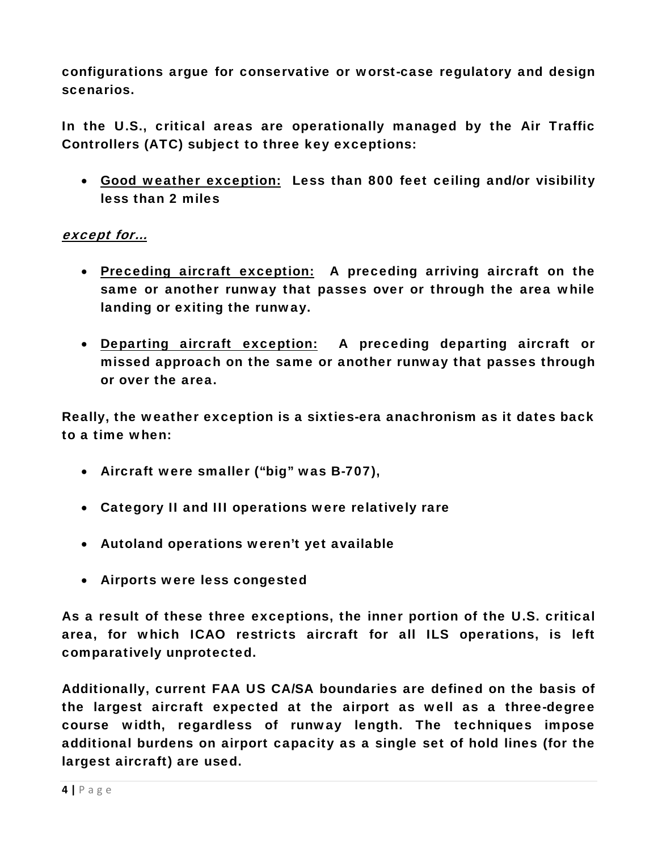configurations argue for conservative or worst-case regulatory and design scenarios.

In the U.S., critical areas are operationally managed by the Air Traffic Controllers (ATC) subject to three key exceptions:

• Good weather exception: Less than 800 feet ceiling and/or visibility less than 2 miles

## except for…

- Preceding aircraft exception: A preceding arriving aircraft on the same or another runway that passes over or through the area while landing or exiting the runway.
- Departing aircraft exception: A preceding departing aircraft or missed approach on the same or another runway that passes through or over the area.

Really, the weather exception is a sixties-era anachronism as it dates back to a time when:

- Aircraft were smaller ("big" was B-707),
- Category II and III operations were relatively rare
- Autoland operations weren't yet available
- Airports were less congested

As a result of these three exceptions, the inner portion of the U.S. critical area, for which ICAO restricts aircraft for all ILS operations, is left comparatively unprotected.

Additionally, current FAA US CA/SA boundaries are defined on the basis of the largest aircraft expected at the airport as well as a three-degree course width, regardless of runway length. The techniques impose additional burdens on airport capacity as a single set of hold lines (for the largest aircraft) are used.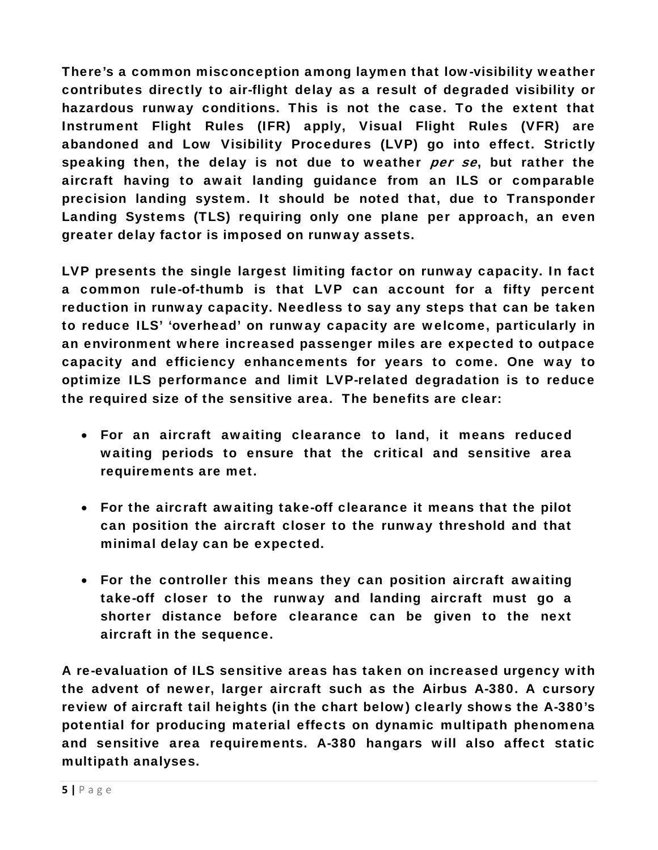There's a common misconception among laymen that low-visibility weather contributes directly to air-flight delay as a result of degraded visibility or hazardous runway conditions. This is not the case. To the extent that Instrument Flight Rules (IFR) apply, Visual Flight Rules (VFR) are abandoned and Low Visibility Procedures (LVP) go into effect. Strictly speaking then, the delay is not due to weather per se, but rather the aircraft having to await landing guidance from an ILS or comparable precision landing system. It should be noted that, due to Transponder Landing Systems (TLS) requiring only one plane per approach, an even greater delay factor is imposed on runway assets.

LVP presents the single largest limiting factor on runway capacity. In fact a common rule-of-thumb is that LVP can account for a fifty percent reduction in runway capacity. Needless to say any steps that can be taken to reduce ILS' 'overhead' on runway capacity are welcome, particularly in an environment where increased passenger miles are expected to outpace capacity and efficiency enhancements for years to come. One way to optimize ILS performance and limit LVP-related degradation is to reduce the required size of the sensitive area. The benefits are clear:

- For an aircraft awaiting clearance to land, it means reduced waiting periods to ensure that the critical and sensitive area requirements are met.
- For the aircraft awaiting take-off clearance it means that the pilot can position the aircraft closer to the runway threshold and that minimal delay can be expected.
- For the controller this means they can position aircraft awaiting take-off closer to the runway and landing aircraft must go a shorter distance before clearance can be given to the next aircraft in the sequence.

A re-evaluation of ILS sensitive areas has taken on increased urgency with the advent of newer, larger aircraft such as the Airbus A-380. A cursory review of aircraft tail heights (in the chart below) clearly shows the A-380's potential for producing material effects on dynamic multipath phenomena and sensitive area requirements. A-380 hangars will also affect static multipath analyses.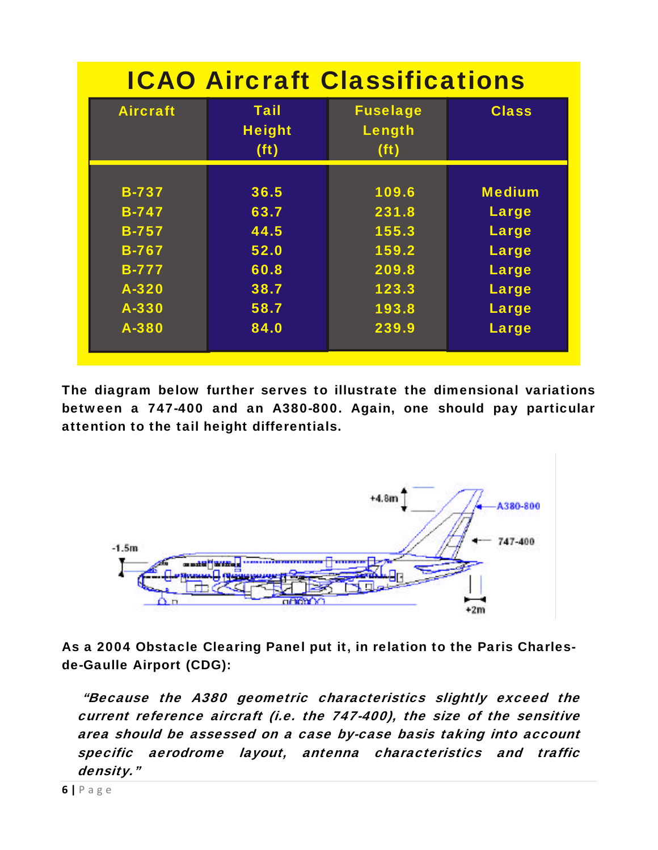| <b>ICAO Aircraft Classifications</b> |                                                   |                                                |               |  |  |
|--------------------------------------|---------------------------------------------------|------------------------------------------------|---------------|--|--|
| <b>Aircraft</b>                      | <b>Tail</b><br><b>Height</b><br>(f <sup>t</sup> ) | <b>Fuselage</b><br>Length<br>(f <sup>t</sup> ) | <b>Class</b>  |  |  |
| <b>B-737</b>                         | 36.5                                              | 109.6                                          | <b>Medium</b> |  |  |
| <b>B-747</b>                         | 63.7                                              | 231.8                                          | <b>Large</b>  |  |  |
| <b>B-757</b>                         | 44.5                                              | 155.3                                          | Large         |  |  |
| <b>B-767</b>                         | 52.0                                              | 159.2                                          | Large         |  |  |
| <b>B-777</b>                         | 60.8                                              | 209.8                                          | Large         |  |  |
| A-320                                | 38.7                                              | 123.3                                          | Large         |  |  |
| A-330                                | 58.7                                              | 193.8                                          | <b>Large</b>  |  |  |
| A-380                                | 84.0                                              | 239.9                                          | Large         |  |  |

The diagram below further serves to illustrate the dimensional variations between a 747-400 and an A380-800. Again, one should pay particular attention to the tail height differentials.



As a 2004 Obstacle Clearing Panel put it, in relation to the Paris Charlesde-Gaulle Airport (CDG):

 "Because the A380 geometric characteristics slightly exceed the current reference aircraft (i.e. the 747-400), the size of the sensitive area should be assessed on a case by-case basis taking into account specific aerodrome layout, antenna characteristics and traffic density."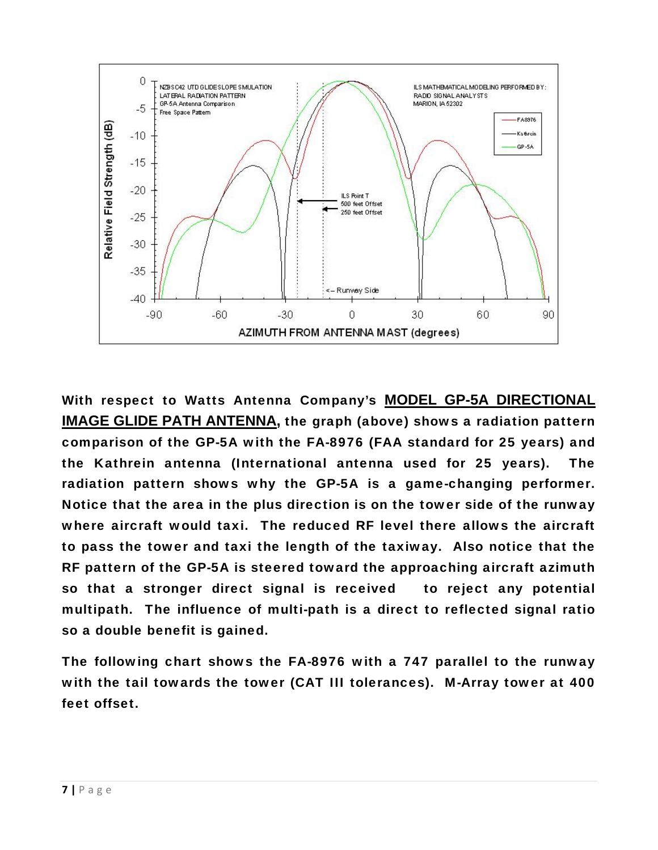

With respect to Watts Antenna Company's **[MODEL GP-5A DIRECTIONAL](http://www.wattsantenna.com/GP5A.htm)  [IMAGE GLIDE PATH ANTENNA,](http://www.wattsantenna.com/GP5A.htm)** the graph (above) shows a radiation pattern comparison of the GP-5A with the FA-8976 (FAA standard for 25 years) and the Kathrein antenna (International antenna used for 25 years). The radiation pattern shows why the GP-5A is a game-changing performer. Notice that the area in the plus direction is on the tower side of the runway where aircraft would taxi. The reduced RF level there allows the aircraft to pass the tower and taxi the length of the taxiway. Also notice that the RF pattern of the GP-5A is steered toward the approaching aircraft azimuth so that a stronger direct signal is received to reject any potential multipath. The influence of multi-path is a direct to reflected signal ratio so a double benefit is gained.

The following chart shows the FA-8976 with a 747 parallel to the runway with the tail towards the tower (CAT III tolerances). M-Array tower at 400 feet offset.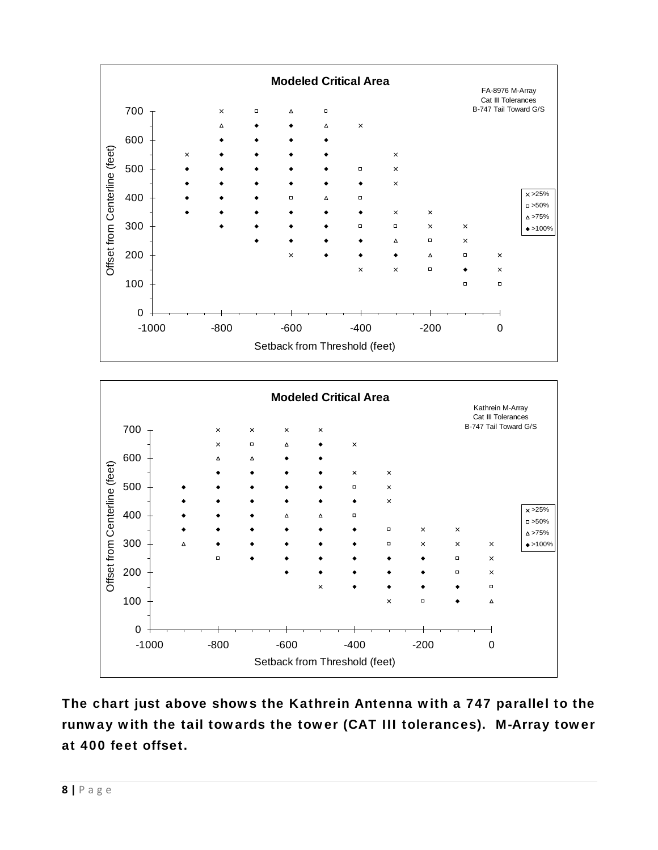

The chart just above shows the Kathrein Antenna with a 747 parallel to the runway with the tail towards the tower (CAT III tolerances). M-Array tower at 400 feet offset.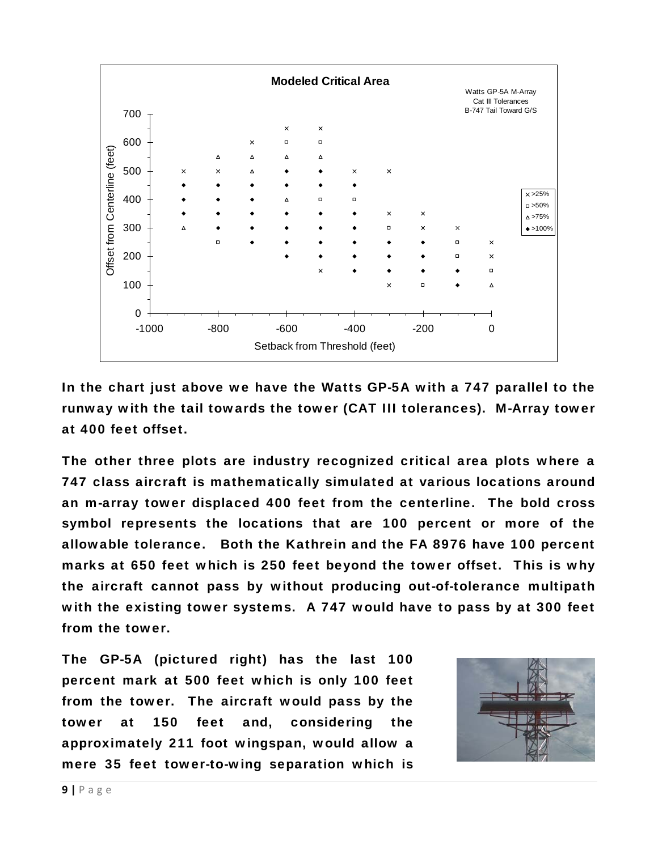

In the chart just above we have the Watts GP-5A with a 747 parallel to the runway with the tail towards the tower (CAT III tolerances). M-Array tower at 400 feet offset.

The other three plots are industry recognized critical area plots where a 747 class aircraft is mathematically simulated at various locations around an m-array tower displaced 400 feet from the centerline. The bold cross symbol represents the locations that are 100 percent or more of the allowable tolerance. Both the Kathrein and the FA 8976 have 100 percent marks at 650 feet which is 250 feet beyond the tower offset. This is why the aircraft cannot pass by without producing out-of-tolerance multipath with the existing tower systems. A 747 would have to pass by at 300 feet from the tower.

The GP-5A (pictured right) has the last 100 percent mark at 500 feet which is only 100 feet from the tower. The aircraft would pass by the tower at 150 feet and, considering the approximately 211 foot wingspan, would allow a mere 35 feet tower-to-wing separation which is